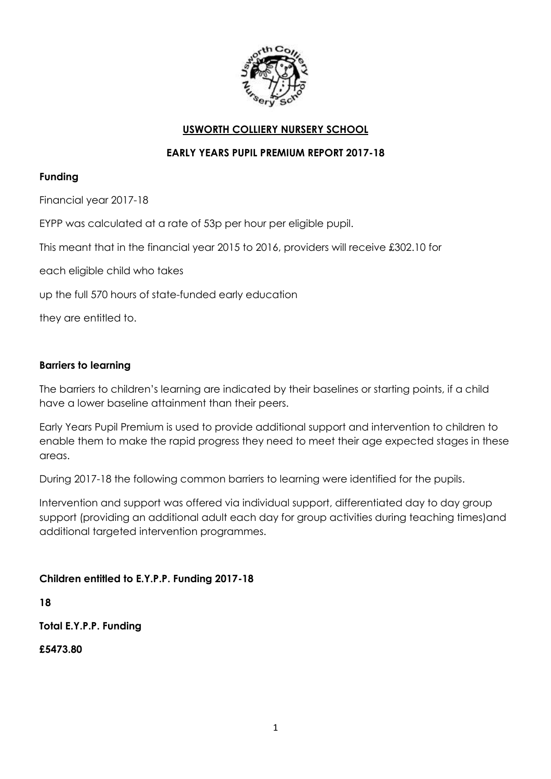

#### **USWORTH COLLIERY NURSERY SCHOOL**

#### **EARLY YEARS PUPIL PREMIUM REPORT 2017-18**

#### **Funding**

Financial year 2017-18

EYPP was calculated at a rate of 53p per hour per eligible pupil.

This meant that in the financial year 2015 to 2016, providers will receive £302.10 for

each eligible child who takes

up the full 570 hours of state-funded early education

they are entitled to.

#### **Barriers to learning**

The barriers to children's learning are indicated by their baselines or starting points, if a child have a lower baseline attainment than their peers.

Early Years Pupil Premium is used to provide additional support and intervention to children to enable them to make the rapid progress they need to meet their age expected stages in these areas.

During 2017-18 the following common barriers to learning were identified for the pupils.

Intervention and support was offered via individual support, differentiated day to day group support (providing an additional adult each day for group activities during teaching times)and additional targeted intervention programmes.

## **Children entitled to E.Y.P.P. Funding 2017-18**

**18**

**Total E.Y.P.P. Funding**

**£5473.80**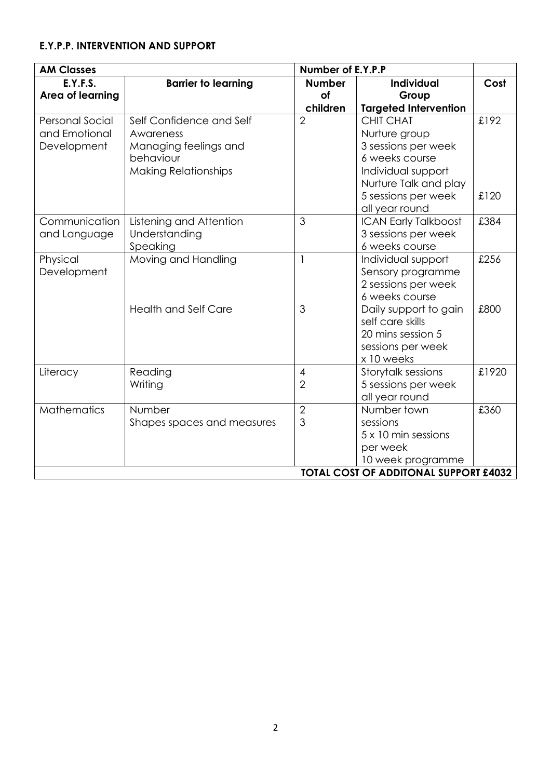# **E.Y.P.P. INTERVENTION AND SUPPORT**

| <b>AM Classes</b>                            |                             | Number of E.Y.P.P |                              |       |
|----------------------------------------------|-----------------------------|-------------------|------------------------------|-------|
| E.Y.F.S.                                     | <b>Barrier to learning</b>  | <b>Number</b>     | <b>Individual</b>            | Cost  |
| Area of learning                             |                             | of                | Group                        |       |
|                                              |                             | children          | <b>Targeted Intervention</b> |       |
| <b>Personal Social</b>                       | Self Confidence and Self    | $\overline{2}$    | <b>CHIT CHAT</b>             | £192  |
| and Emotional                                | Awareness                   |                   | Nurture group                |       |
| Development                                  | Managing feelings and       |                   | 3 sessions per week          |       |
|                                              | behaviour                   |                   | 6 weeks course               |       |
|                                              | <b>Making Relationships</b> |                   | Individual support           |       |
|                                              |                             |                   | Nurture Talk and play        |       |
|                                              |                             |                   | 5 sessions per week          | £120  |
|                                              |                             |                   | all year round               |       |
| Communication                                | Listening and Attention     | 3                 | <b>ICAN Early Talkboost</b>  | £384  |
| and Language                                 | Understanding               |                   | 3 sessions per week          |       |
|                                              | Speaking                    |                   | 6 weeks course               |       |
| Physical                                     | Moving and Handling         | $\mathbf{1}$      | Individual support           | £256  |
| Development                                  |                             |                   | Sensory programme            |       |
|                                              |                             |                   | 2 sessions per week          |       |
|                                              |                             |                   | 6 weeks course               |       |
|                                              | <b>Health and Self Care</b> | 3                 | Daily support to gain        | £800  |
|                                              |                             |                   | self care skills             |       |
|                                              |                             |                   | 20 mins session 5            |       |
|                                              |                             |                   | sessions per week            |       |
|                                              |                             |                   | x 10 weeks                   |       |
| Literacy                                     | Reading                     | $\overline{4}$    | Storytalk sessions           | £1920 |
|                                              | Writing                     | $\overline{2}$    | 5 sessions per week          |       |
|                                              |                             |                   | all year round               |       |
| <b>Mathematics</b>                           | Number                      | $\overline{2}$    | Number town                  | £360  |
|                                              | Shapes spaces and measures  | 3                 | sessions                     |       |
|                                              |                             |                   | 5 x 10 min sessions          |       |
|                                              |                             |                   | per week                     |       |
|                                              |                             |                   | 10 week programme            |       |
| <b>TOTAL COST OF ADDITONAL SUPPORT £4032</b> |                             |                   |                              |       |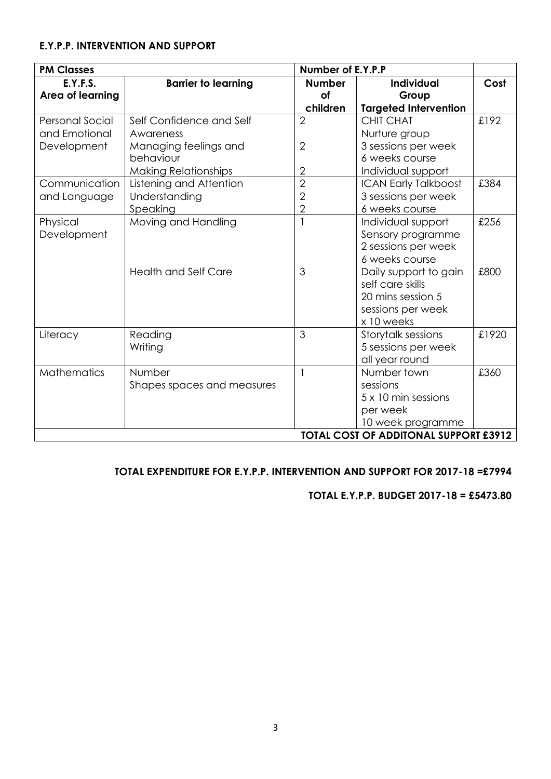#### **E.Y.P.P. INTERVENTION AND SUPPORT**

| <b>PM Classes</b>                            |                             | Number of E.Y.P.P |                              |       |
|----------------------------------------------|-----------------------------|-------------------|------------------------------|-------|
| E.Y.F.S.                                     | <b>Barrier to learning</b>  | <b>Number</b>     | <b>Individual</b>            | Cost  |
| Area of learning                             |                             | of                | Group                        |       |
|                                              |                             | children          | <b>Targeted Intervention</b> |       |
| <b>Personal Social</b>                       | Self Confidence and Self    | $\overline{2}$    | <b>CHIT CHAT</b>             | £192  |
| and Emotional                                | Awareness                   |                   | Nurture group                |       |
| Development                                  | Managing feelings and       | $\overline{2}$    | 3 sessions per week          |       |
|                                              | behaviour                   |                   | 6 weeks course               |       |
|                                              | <b>Making Relationships</b> | $\overline{2}$    | Individual support           |       |
| Communication                                | Listening and Attention     | $\overline{2}$    | <b>ICAN Early Talkboost</b>  | £384  |
| and Language                                 | Understanding               | $\overline{2}$    | 3 sessions per week          |       |
|                                              | Speaking                    | $\overline{2}$    | 6 weeks course               |       |
| Physical                                     | Moving and Handling         |                   | Individual support           | £256  |
| Development                                  |                             |                   | Sensory programme            |       |
|                                              |                             |                   | 2 sessions per week          |       |
|                                              |                             |                   | 6 weeks course               |       |
|                                              | <b>Health and Self Care</b> | 3                 | Daily support to gain        | £800  |
|                                              |                             |                   | self care skills             |       |
|                                              |                             |                   | 20 mins session 5            |       |
|                                              |                             |                   | sessions per week            |       |
|                                              |                             |                   | x 10 weeks                   |       |
| Literacy                                     | Reading                     | 3                 | Storytalk sessions           | £1920 |
|                                              | Writing                     |                   | 5 sessions per week          |       |
|                                              |                             |                   | all year round               |       |
| <b>Mathematics</b>                           | Number                      | $\mathbf{1}$      | Number town                  | £360  |
|                                              | Shapes spaces and measures  |                   | sessions                     |       |
|                                              |                             |                   | 5 x 10 min sessions          |       |
|                                              |                             |                   | per week                     |       |
|                                              |                             |                   | 10 week programme            |       |
| <b>TOTAL COST OF ADDITONAL SUPPORT £3912</b> |                             |                   |                              |       |

## **TOTAL EXPENDITURE FOR E.Y.P.P. INTERVENTION AND SUPPORT FOR 2017-18 =£7994**

#### **TOTAL E.Y.P.P. BUDGET 2017-18 = £5473.80**